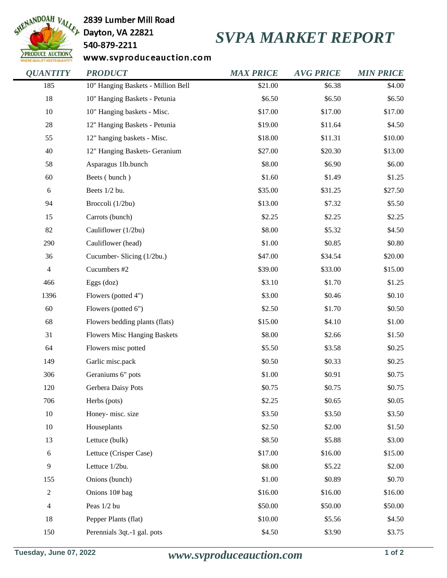

2839 Lumber Mill Road

## 540-879-2211

## *SVPA MARKET REPORT*

www.svproduceauction.com

| <b>QUANTITY</b>          | <b>PRODUCT</b>                      | <b>MAX PRICE</b> | <b>AVG PRICE</b> | <b>MIN PRICE</b> |
|--------------------------|-------------------------------------|------------------|------------------|------------------|
| 185                      | 10" Hanging Baskets - Million Bell  | \$21.00          | \$6.38           | \$4.00           |
| $18\,$                   | 10" Hanging Baskets - Petunia       | \$6.50           | \$6.50           | \$6.50           |
| $10\,$                   | 10" Hanging baskets - Misc.         | \$17.00          | \$17.00          | \$17.00          |
| $28\,$                   | 12" Hanging Baskets - Petunia       | \$19.00          | \$11.64          | \$4.50           |
| 55                       | 12" hanging baskets - Misc.         | \$18.00          | \$11.31          | \$10.00          |
| 40                       | 12" Hanging Baskets- Geranium       | \$27.00          | \$20.30          | \$13.00          |
| 58                       | Asparagus 1lb.bunch                 | \$8.00           | \$6.90           | \$6.00           |
| 60                       | Beets (bunch)                       | \$1.60           | \$1.49           | \$1.25           |
| 6                        | Beets 1/2 bu.                       | \$35.00          | \$31.25          | \$27.50          |
| 94                       | Broccoli (1/2bu)                    | \$13.00          | \$7.32           | \$5.50           |
| 15                       | Carrots (bunch)                     | \$2.25           | \$2.25           | \$2.25           |
| 82                       | Cauliflower (1/2bu)                 | \$8.00           | \$5.32           | \$4.50           |
| 290                      | Cauliflower (head)                  | \$1.00           | \$0.85           | \$0.80           |
| 36                       | Cucumber- Slicing (1/2bu.)          | \$47.00          | \$34.54          | \$20.00          |
| $\overline{\mathcal{L}}$ | Cucumbers #2                        | \$39.00          | \$33.00          | \$15.00          |
| 466                      | Eggs $(doz)$                        | \$3.10           | \$1.70           | \$1.25           |
| 1396                     | Flowers (potted 4")                 | \$3.00           | \$0.46           | \$0.10           |
| 60                       | Flowers (potted 6")                 | \$2.50           | \$1.70           | \$0.50           |
| 68                       | Flowers bedding plants (flats)      | \$15.00          | \$4.10           | \$1.00           |
| 31                       | <b>Flowers Misc Hanging Baskets</b> | \$8.00           | \$2.66           | \$1.50           |
| 64                       | Flowers misc potted                 | \$5.50           | \$3.58           | \$0.25           |
| 149                      | Garlic misc.pack                    | \$0.50           | \$0.33           | \$0.25           |
| 306                      | Geraniums 6" pots                   | \$1.00           | \$0.91           | \$0.75           |
| 120                      | Gerbera Daisy Pots                  | \$0.75           | \$0.75           | \$0.75           |
| 706                      | Herbs (pots)                        | \$2.25           | \$0.65           | \$0.05           |
| $10\,$                   | Honey-misc. size                    | \$3.50           | \$3.50           | \$3.50           |
| $10\,$                   | Houseplants                         | \$2.50           | \$2.00           | \$1.50           |
| 13                       | Lettuce (bulk)                      | \$8.50           | \$5.88           | \$3.00           |
| 6                        | Lettuce (Crisper Case)              | \$17.00          | \$16.00          | \$15.00          |
| 9                        | Lettuce 1/2bu.                      | \$8.00           | \$5.22           | \$2.00           |
| 155                      | Onions (bunch)                      | \$1.00           | \$0.89           | \$0.70           |
| 2                        | Onions 10# bag                      | \$16.00          | \$16.00          | \$16.00          |
| 4                        | Peas 1/2 bu                         | \$50.00          | \$50.00          | \$50.00          |
| 18                       | Pepper Plants (flat)                | \$10.00          | \$5.56           | \$4.50           |
| 150                      | Perennials 3qt.-1 gal. pots         | \$4.50           | \$3.90           | \$3.75           |
|                          |                                     |                  |                  |                  |